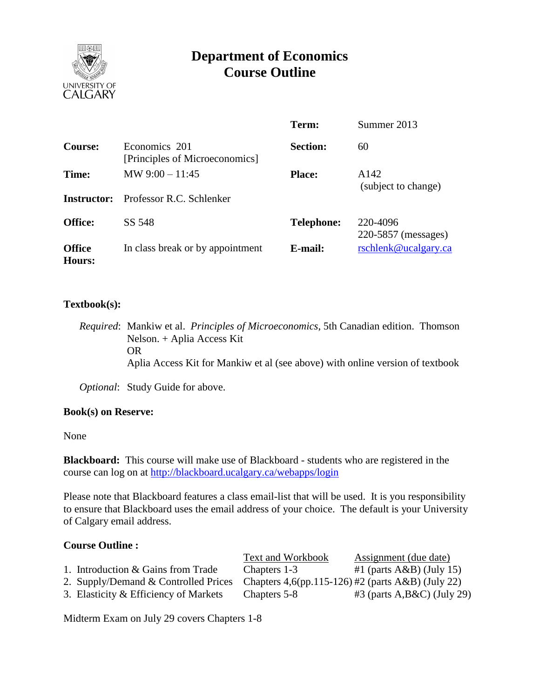

# **Department of Economics Course Outline**

|                         |                                                 | Term:             | Summer 2013                     |
|-------------------------|-------------------------------------------------|-------------------|---------------------------------|
| Course:                 | Economics 201<br>[Principles of Microeconomics] | <b>Section:</b>   | 60                              |
| Time:                   | MW $9:00 - 11:45$                               | <b>Place:</b>     | A142<br>(subject to change)     |
| Instructor:             | Professor R.C. Schlenker                        |                   |                                 |
| <b>Office:</b>          | SS 548                                          | <b>Telephone:</b> | 220-4096<br>220-5857 (messages) |
| <b>Office</b><br>Hours: | In class break or by appointment                | E-mail:           | rschlenk@ucalgary.ca            |

## **Textbook(s):**

*Required*: Mankiw et al. *Principles of Microeconomics*, 5th Canadian edition. Thomson Nelson. + Aplia Access Kit OR Aplia Access Kit for Mankiw et al (see above) with online version of textbook

*Optional*: Study Guide for above.

#### **Book(s) on Reserve:**

None

**Blackboard:** This course will make use of Blackboard - students who are registered in the course can log on at<http://blackboard.ucalgary.ca/webapps/login>

Please note that Blackboard features a class email-list that will be used. It is you responsibility to ensure that Blackboard uses the email address of your choice. The default is your University of Calgary email address.

#### **Course Outline :**

|                                       | Text and Workbook                                    | Assignment (due date)        |
|---------------------------------------|------------------------------------------------------|------------------------------|
| 1. Introduction & Gains from Trade    | Chapters 1-3                                         | #1 (parts $A\&B$ ) (July 15) |
| 2. Supply/Demand & Controlled Prices  | Chapters $4,6$ (pp.115-126) #2 (parts A&B) (July 22) |                              |
| 3. Elasticity & Efficiency of Markets | Chapters 5-8                                         | $#3$ (parts A,B&C) (July 29) |
|                                       |                                                      |                              |

Midterm Exam on July 29 covers Chapters 1-8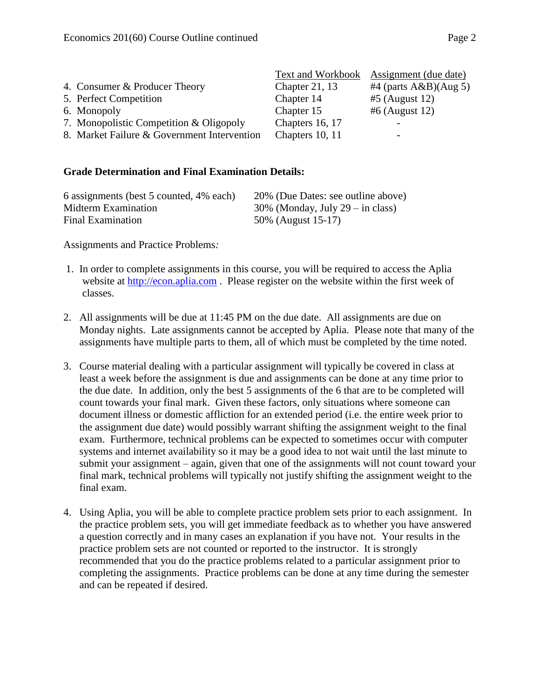|                                             | Text and Workbook | Assignment (due date)    |
|---------------------------------------------|-------------------|--------------------------|
| 4. Consumer & Producer Theory               | Chapter 21, $13$  | #4 (parts $A&B$ )(Aug 5) |
| 5. Perfect Competition                      | Chapter 14        | $#5$ (August 12)         |
| 6. Monopoly                                 | Chapter 15        | $#6$ (August 12)         |
| 7. Monopolistic Competition & Oligopoly     | Chapters 16, 17   |                          |
| 8. Market Failure & Government Intervention | Chapters 10, 11   | -                        |

#### **Grade Determination and Final Examination Details:**

| 6 assignments (best 5 counted, 4% each) | 20% (Due Dates: see outline above)  |
|-----------------------------------------|-------------------------------------|
| Midterm Examination                     | $30\%$ (Monday, July 29 – in class) |
| Final Examination                       | 50% (August 15-17)                  |

Assignments and Practice Problems*:*

- 1. In order to complete assignments in this course, you will be required to access the Aplia website at [http://econ.aplia.com](http://econ.aplia.com/) . Please register on the website within the first week of classes.
- 2. All assignments will be due at 11:45 PM on the due date. All assignments are due on Monday nights. Late assignments cannot be accepted by Aplia. Please note that many of the assignments have multiple parts to them, all of which must be completed by the time noted.
- 3. Course material dealing with a particular assignment will typically be covered in class at least a week before the assignment is due and assignments can be done at any time prior to the due date. In addition, only the best 5 assignments of the 6 that are to be completed will count towards your final mark. Given these factors, only situations where someone can document illness or domestic affliction for an extended period (i.e. the entire week prior to the assignment due date) would possibly warrant shifting the assignment weight to the final exam. Furthermore, technical problems can be expected to sometimes occur with computer systems and internet availability so it may be a good idea to not wait until the last minute to submit your assignment – again, given that one of the assignments will not count toward your final mark, technical problems will typically not justify shifting the assignment weight to the final exam.
- 4. Using Aplia, you will be able to complete practice problem sets prior to each assignment. In the practice problem sets, you will get immediate feedback as to whether you have answered a question correctly and in many cases an explanation if you have not. Your results in the practice problem sets are not counted or reported to the instructor. It is strongly recommended that you do the practice problems related to a particular assignment prior to completing the assignments. Practice problems can be done at any time during the semester and can be repeated if desired.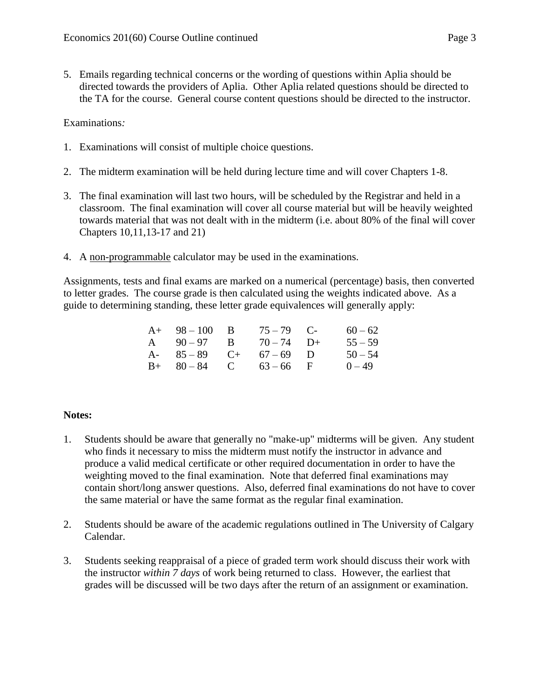5. Emails regarding technical concerns or the wording of questions within Aplia should be directed towards the providers of Aplia. Other Aplia related questions should be directed to the TA for the course. General course content questions should be directed to the instructor.

Examinations*:*

- 1. Examinations will consist of multiple choice questions.
- 2. The midterm examination will be held during lecture time and will cover Chapters 1-8.
- 3. The final examination will last two hours, will be scheduled by the Registrar and held in a classroom. The final examination will cover all course material but will be heavily weighted towards material that was not dealt with in the midterm (i.e. about 80% of the final will cover Chapters 10,11,13-17 and 21)
- 4. A non-programmable calculator may be used in the examinations.

Assignments, tests and final exams are marked on a numerical (percentage) basis, then converted to letter grades. The course grade is then calculated using the weights indicated above. As a guide to determining standing, these letter grade equivalences will generally apply:

| $A+ 98-100 B$           | $75 - 79$ C- | $60 - 62$ |
|-------------------------|--------------|-----------|
| A $90-97$ B $70-74$ D+  |              | $55 - 59$ |
| A- $85-89$ C+ $67-69$ D |              | $50 - 54$ |
| $B+ 80-84$ C $63-66$ F  |              | $0 - 49$  |

#### **Notes:**

- 1. Students should be aware that generally no "make-up" midterms will be given. Any student who finds it necessary to miss the midterm must notify the instructor in advance and produce a valid medical certificate or other required documentation in order to have the weighting moved to the final examination. Note that deferred final examinations may contain short/long answer questions. Also, deferred final examinations do not have to cover the same material or have the same format as the regular final examination.
- 2. Students should be aware of the academic regulations outlined in The University of Calgary Calendar.
- 3. Students seeking reappraisal of a piece of graded term work should discuss their work with the instructor *within 7 days* of work being returned to class. However, the earliest that grades will be discussed will be two days after the return of an assignment or examination.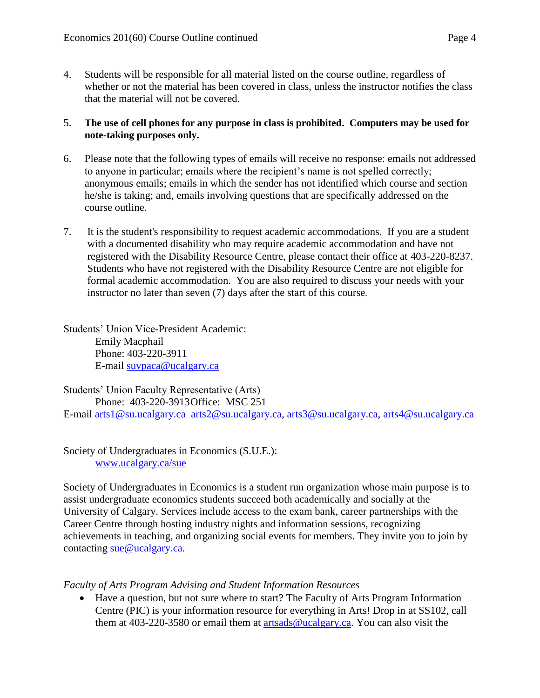4. Students will be responsible for all material listed on the course outline, regardless of whether or not the material has been covered in class, unless the instructor notifies the class that the material will not be covered.

## 5. **The use of cell phones for any purpose in class is prohibited. Computers may be used for note-taking purposes only.**

- 6. Please note that the following types of emails will receive no response: emails not addressed to anyone in particular; emails where the recipient's name is not spelled correctly; anonymous emails; emails in which the sender has not identified which course and section he/she is taking; and, emails involving questions that are specifically addressed on the course outline.
- 7. It is the student's responsibility to request academic accommodations. If you are a student with a documented disability who may require academic accommodation and have not registered with the Disability Resource Centre, please contact their office at 403-220-8237. Students who have not registered with the Disability Resource Centre are not eligible for formal academic accommodation. You are also required to discuss your needs with your instructor no later than seven (7) days after the start of this course.

Students' Union Vice-President Academic: Emily Macphail Phone: 403-220-3911 E-mail [suvpaca@ucalgary.ca](mailto:subpaca@ucalgary.ca)

Students' Union Faculty Representative (Arts) Phone: 403-220-3913Office: MSC 251 E-mail [arts1@su.ucalgary.ca](mailto:arts1@su.ucalgary.ca) [arts2@su.ucalgary.ca,](mailto:arts2@su.ucalgary.ca) [arts3@su.ucalgary.ca,](mailto:arts3@su.ucalgary.ca) [arts4@su.ucalgary.ca](mailto:arts4@su.ucalgary.ca)

Society of Undergraduates in Economics (S.U.E.): [www.ucalgary.ca/sue](http://www.fp.ucalgary.ca/econ)

Society of Undergraduates in Economics is a student run organization whose main purpose is to assist undergraduate economics students succeed both academically and socially at the University of Calgary. Services include access to the exam bank, career partnerships with the Career Centre through hosting industry nights and information sessions, recognizing achievements in teaching, and organizing social events for members. They invite you to join by contacting [sue@ucalgary.ca.](mailto:sue@ucalgary.ca)

# *Faculty of Arts Program Advising and Student Information Resources*

 Have a question, but not sure where to start? The Faculty of Arts Program Information Centre (PIC) is your information resource for everything in Arts! Drop in at SS102, call them at 403-220-3580 or email them at [artsads@ucalgary.ca.](mailto:artsads@ucalgary.ca) You can also visit the